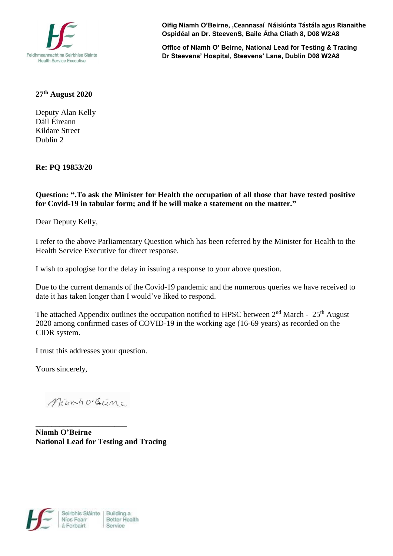

**Oifig Niamh O'Beirne, ,Ceannasaí Náisiúnta Tástála agus Rianaithe Ospidéal an Dr. SteevenS, Baile Átha Cliath 8, D08 W2A8**

**Office of Niamh O' Beirne, National Lead for Testing & Tracing Dr Steevens' Hospital, Steevens' Lane, Dublin D08 W2A8**

## **27 th August 2020**

Deputy Alan Kelly Dáil Éireann Kildare Street Dublin 2

**Re: PQ 19853/20**

**Question: ".To ask the Minister for Health the occupation of all those that have tested positive for Covid-19 in tabular form; and if he will make a statement on the matter."**

Dear Deputy Kelly,

I refer to the above Parliamentary Question which has been referred by the Minister for Health to the Health Service Executive for direct response.

I wish to apologise for the delay in issuing a response to your above question.

Due to the current demands of the Covid-19 pandemic and the numerous queries we have received to date it has taken longer than I would've liked to respond.

The attached Appendix outlines the occupation notified to HPSC between  $2<sup>nd</sup>$  March -  $25<sup>th</sup>$  August 2020 among confirmed cases of COVID-19 in the working age (16-69 years) as recorded on the CIDR system.

I trust this addresses your question.

Yours sincerely,

MamhoBeine

**\_\_\_\_\_\_\_\_\_\_\_\_\_\_\_\_\_\_\_\_\_\_\_**

**Niamh O'Beirne National Lead for Testing and Tracing**